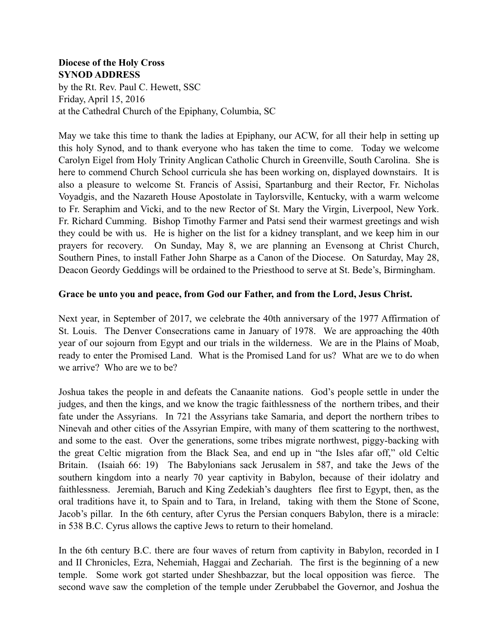## **Diocese of the Holy Cross SYNOD ADDRESS**

by the Rt. Rev. Paul C. Hewett, SSC Friday, April 15, 2016 at the Cathedral Church of the Epiphany, Columbia, SC

May we take this time to thank the ladies at Epiphany, our ACW, for all their help in setting up this holy Synod, and to thank everyone who has taken the time to come. Today we welcome Carolyn Eigel from Holy Trinity Anglican Catholic Church in Greenville, South Carolina. She is here to commend Church School curricula she has been working on, displayed downstairs. It is also a pleasure to welcome St. Francis of Assisi, Spartanburg and their Rector, Fr. Nicholas Voyadgis, and the Nazareth House Apostolate in Taylorsville, Kentucky, with a warm welcome to Fr. Seraphim and Vicki, and to the new Rector of St. Mary the Virgin, Liverpool, New York. Fr. Richard Cumming. Bishop Timothy Farmer and Patsi send their warmest greetings and wish they could be with us. He is higher on the list for a kidney transplant, and we keep him in our prayers for recovery. On Sunday, May 8, we are planning an Evensong at Christ Church, Southern Pines, to install Father John Sharpe as a Canon of the Diocese. On Saturday, May 28, Deacon Geordy Geddings will be ordained to the Priesthood to serve at St. Bede's, Birmingham.

## **Grace be unto you and peace, from God our Father, and from the Lord, Jesus Christ.**

Next year, in September of 2017, we celebrate the 40th anniversary of the 1977 Affirmation of St. Louis. The Denver Consecrations came in January of 1978. We are approaching the 40th year of our sojourn from Egypt and our trials in the wilderness. We are in the Plains of Moab, ready to enter the Promised Land. What is the Promised Land for us? What are we to do when we arrive? Who are we to be?

Joshua takes the people in and defeats the Canaanite nations. God's people settle in under the judges, and then the kings, and we know the tragic faithlessness of the northern tribes, and their fate under the Assyrians. In 721 the Assyrians take Samaria, and deport the northern tribes to Ninevah and other cities of the Assyrian Empire, with many of them scattering to the northwest, and some to the east. Over the generations, some tribes migrate northwest, piggy-backing with the great Celtic migration from the Black Sea, and end up in "the Isles afar off," old Celtic Britain. (Isaiah 66: 19) The Babylonians sack Jerusalem in 587, and take the Jews of the southern kingdom into a nearly 70 year captivity in Babylon, because of their idolatry and faithlessness. Jeremiah, Baruch and King Zedekiah's daughters flee first to Egypt, then, as the oral traditions have it, to Spain and to Tara, in Ireland, taking with them the Stone of Scone, Jacob's pillar. In the 6th century, after Cyrus the Persian conquers Babylon, there is a miracle: in 538 B.C. Cyrus allows the captive Jews to return to their homeland.

In the 6th century B.C. there are four waves of return from captivity in Babylon, recorded in I and II Chronicles, Ezra, Nehemiah, Haggai and Zechariah. The first is the beginning of a new temple. Some work got started under Sheshbazzar, but the local opposition was fierce. The second wave saw the completion of the temple under Zerubbabel the Governor, and Joshua the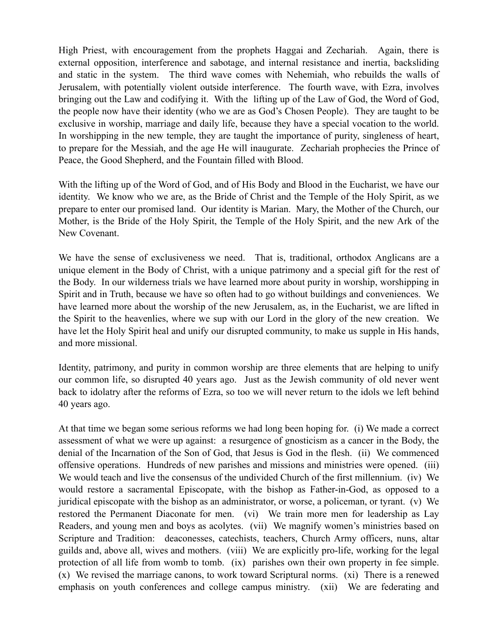High Priest, with encouragement from the prophets Haggai and Zechariah. Again, there is external opposition, interference and sabotage, and internal resistance and inertia, backsliding and static in the system. The third wave comes with Nehemiah, who rebuilds the walls of Jerusalem, with potentially violent outside interference. The fourth wave, with Ezra, involves bringing out the Law and codifying it. With the lifting up of the Law of God, the Word of God, the people now have their identity (who we are as God's Chosen People). They are taught to be exclusive in worship, marriage and daily life, because they have a special vocation to the world. In worshipping in the new temple, they are taught the importance of purity, singleness of heart, to prepare for the Messiah, and the age He will inaugurate. Zechariah prophecies the Prince of Peace, the Good Shepherd, and the Fountain filled with Blood.

With the lifting up of the Word of God, and of His Body and Blood in the Eucharist, we have our identity. We know who we are, as the Bride of Christ and the Temple of the Holy Spirit, as we prepare to enter our promised land. Our identity is Marian. Mary, the Mother of the Church, our Mother, is the Bride of the Holy Spirit, the Temple of the Holy Spirit, and the new Ark of the New Covenant.

We have the sense of exclusiveness we need. That is, traditional, orthodox Anglicans are a unique element in the Body of Christ, with a unique patrimony and a special gift for the rest of the Body. In our wilderness trials we have learned more about purity in worship, worshipping in Spirit and in Truth, because we have so often had to go without buildings and conveniences. We have learned more about the worship of the new Jerusalem, as, in the Eucharist, we are lifted in the Spirit to the heavenlies, where we sup with our Lord in the glory of the new creation. We have let the Holy Spirit heal and unify our disrupted community, to make us supple in His hands, and more missional.

Identity, patrimony, and purity in common worship are three elements that are helping to unify our common life, so disrupted 40 years ago. Just as the Jewish community of old never went back to idolatry after the reforms of Ezra, so too we will never return to the idols we left behind 40 years ago.

At that time we began some serious reforms we had long been hoping for. (i) We made a correct assessment of what we were up against: a resurgence of gnosticism as a cancer in the Body, the denial of the Incarnation of the Son of God, that Jesus is God in the flesh. (ii) We commenced offensive operations. Hundreds of new parishes and missions and ministries were opened. (iii) We would teach and live the consensus of the undivided Church of the first millennium. (iv) We would restore a sacramental Episcopate, with the bishop as Father-in-God, as opposed to a juridical episcopate with the bishop as an administrator, or worse, a policeman, or tyrant. (v) We restored the Permanent Diaconate for men. (vi) We train more men for leadership as Lay Readers, and young men and boys as acolytes. (vii) We magnify women's ministries based on Scripture and Tradition: deaconesses, catechists, teachers, Church Army officers, nuns, altar guilds and, above all, wives and mothers. (viii) We are explicitly pro-life, working for the legal protection of all life from womb to tomb. (ix) parishes own their own property in fee simple. (x) We revised the marriage canons, to work toward Scriptural norms. (xi) There is a renewed emphasis on youth conferences and college campus ministry. (xii) We are federating and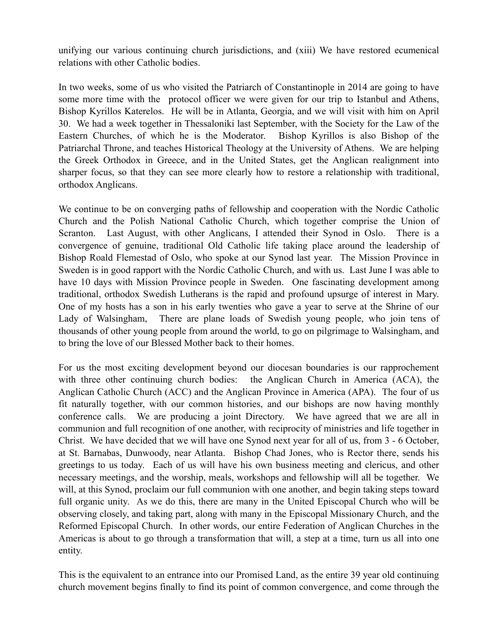unifying our various continuing church jurisdictions, and (xiii) We have restored ecumenical relations with other Catholic bodies.

In two weeks, some of us who visited the Patriarch of Constantinople in 2014 are going to have some more time with the protocol officer we were given for our trip to Istanbul and Athens, Bishop Kyrillos Katerelos. He will be in Atlanta, Georgia, and we will visit with him on April 30. We had a week together in Thessaloniki last September, with the Society for the Law of the Eastern Churches, of which he is the Moderator. Bishop Kyrillos is also Bishop of the Patriarchal Throne, and teaches Historical Theology at the University of Athens. We are helping the Greek Orthodox in Greece, and in the United States, get the Anglican realignment into sharper focus, so that they can see more clearly how to restore a relationship with traditional, orthodox Anglicans.

We continue to be on converging paths of fellowship and cooperation with the Nordic Catholic Church and the Polish National Catholic Church, which together comprise the Union of Scranton. Last August, with other Anglicans, I attended their Synod in Oslo. There is a convergence of genuine, traditional Old Catholic life taking place around the leadership of Bishop Roald Flemestad of Oslo, who spoke at our Synod last year. The Mission Province in Sweden is in good rapport with the Nordic Catholic Church, and with us. Last June I was able to have 10 days with Mission Province people in Sweden. One fascinating development among traditional, orthodox Swedish Lutherans is the rapid and profound upsurge of interest in Mary. One of my hosts has a son in his early twenties who gave a year to serve at the Shrine of our Lady of Walsingham, There are plane loads of Swedish young people, who join tens of thousands of other young people from around the world, to go on pilgrimage to Walsingham, and to bring the love of our Blessed Mother back to their homes.

For us the most exciting development beyond our diocesan boundaries is our rapprochement with three other continuing church bodies: the Anglican Church in America (ACA), the Anglican Catholic Church (ACC) and the Anglican Province in America (APA). The four of us fit naturally together, with our common histories, and our bishops are now having monthly conference calls. We are producing a joint Directory. We have agreed that we are all in communion and full recognition of one another, with reciprocity of ministries and life together in Christ. We have decided that we will have one Synod next year for all of us, from 3 - 6 October, at St. Barnabas, Dunwoody, near Atlanta. Bishop Chad Jones, who is Rector there, sends his greetings to us today. Each of us will have his own business meeting and clericus, and other necessary meetings, and the worship, meals, workshops and fellowship will all be together. We will, at this Synod, proclaim our full communion with one another, and begin taking steps toward full organic unity. As we do this, there are many in the United Episcopal Church who will be observing closely, and taking part, along with many in the Episcopal Missionary Church, and the Reformed Episcopal Church. In other words, our entire Federation of Anglican Churches in the Americas is about to go through a transformation that will, a step at a time, turn us all into one entity.

This is the equivalent to an entrance into our Promised Land, as the entire 39 year old continuing church movement begins finally to find its point of common convergence, and come through the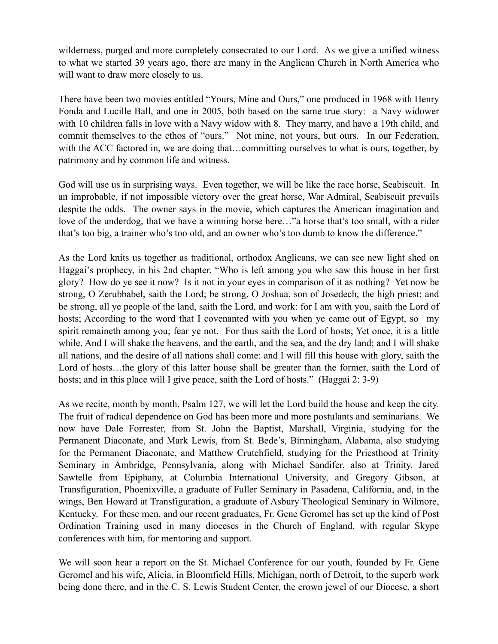wilderness, purged and more completely consecrated to our Lord. As we give a unified witness to what we started 39 years ago, there are many in the Anglican Church in North America who will want to draw more closely to us.

There have been two movies entitled "Yours, Mine and Ours," one produced in 1968 with Henry Fonda and Lucille Ball, and one in 2005, both based on the same true story: a Navy widower with 10 children falls in love with a Navy widow with 8. They marry, and have a 19th child, and commit themselves to the ethos of "ours." Not mine, not yours, but ours. In our Federation, with the ACC factored in, we are doing that...committing ourselves to what is ours, together, by patrimony and by common life and witness.

God will use us in surprising ways. Even together, we will be like the race horse, Seabiscuit. In an improbable, if not impossible victory over the great horse, War Admiral, Seabiscuit prevails despite the odds. The owner says in the movie, which captures the American imagination and love of the underdog, that we have a winning horse here…"a horse that's too small, with a rider that's too big, a trainer who's too old, and an owner who's too dumb to know the difference."

As the Lord knits us together as traditional, orthodox Anglicans, we can see new light shed on Haggai's prophecy, in his 2nd chapter, "Who is left among you who saw this house in her first glory? How do ye see it now? Is it not in your eyes in comparison of it as nothing? Yet now be strong, O Zerubbabel, saith the Lord; be strong, O Joshua, son of Josedech, the high priest; and be strong, all ye people of the land, saith the Lord, and work: for I am with you, saith the Lord of hosts; According to the word that I covenanted with you when ye came out of Egypt, so my spirit remaineth among you; fear ye not. For thus saith the Lord of hosts; Yet once, it is a little while, And I will shake the heavens, and the earth, and the sea, and the dry land; and I will shake all nations, and the desire of all nations shall come: and I will fill this house with glory, saith the Lord of hosts…the glory of this latter house shall be greater than the former, saith the Lord of hosts; and in this place will I give peace, saith the Lord of hosts." (Haggai 2: 3-9)

As we recite, month by month, Psalm 127, we will let the Lord build the house and keep the city. The fruit of radical dependence on God has been more and more postulants and seminarians. We now have Dale Forrester, from St. John the Baptist, Marshall, Virginia, studying for the Permanent Diaconate, and Mark Lewis, from St. Bede's, Birmingham, Alabama, also studying for the Permanent Diaconate, and Matthew Crutchfield, studying for the Priesthood at Trinity Seminary in Ambridge, Pennsylvania, along with Michael Sandifer, also at Trinity, Jared Sawtelle from Epiphany, at Columbia International University, and Gregory Gibson, at Transfiguration, Phoenixville, a graduate of Fuller Seminary in Pasadena, California, and, in the wings, Ben Howard at Transfiguration, a graduate of Asbury Theological Seminary in Wilmore, Kentucky. For these men, and our recent graduates, Fr. Gene Geromel has set up the kind of Post Ordination Training used in many dioceses in the Church of England, with regular Skype conferences with him, for mentoring and support.

We will soon hear a report on the St. Michael Conference for our youth, founded by Fr. Gene Geromel and his wife, Alicia, in Bloomfield Hills, Michigan, north of Detroit, to the superb work being done there, and in the C. S. Lewis Student Center, the crown jewel of our Diocese, a short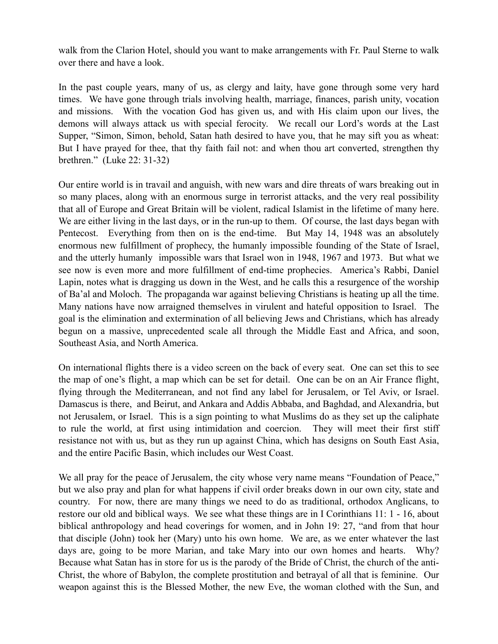walk from the Clarion Hotel, should you want to make arrangements with Fr. Paul Sterne to walk over there and have a look.

In the past couple years, many of us, as clergy and laity, have gone through some very hard times. We have gone through trials involving health, marriage, finances, parish unity, vocation and missions. With the vocation God has given us, and with His claim upon our lives, the demons will always attack us with special ferocity. We recall our Lord's words at the Last Supper, "Simon, Simon, behold, Satan hath desired to have you, that he may sift you as wheat: But I have prayed for thee, that thy faith fail not: and when thou art converted, strengthen thy brethren." (Luke 22: 31-32)

Our entire world is in travail and anguish, with new wars and dire threats of wars breaking out in so many places, along with an enormous surge in terrorist attacks, and the very real possibility that all of Europe and Great Britain will be violent, radical Islamist in the lifetime of many here. We are either living in the last days, or in the run-up to them. Of course, the last days began with Pentecost. Everything from then on is the end-time. But May 14, 1948 was an absolutely enormous new fulfillment of prophecy, the humanly impossible founding of the State of Israel, and the utterly humanly impossible wars that Israel won in 1948, 1967 and 1973. But what we see now is even more and more fulfillment of end-time prophecies. America's Rabbi, Daniel Lapin, notes what is dragging us down in the West, and he calls this a resurgence of the worship of Ba'al and Moloch. The propaganda war against believing Christians is heating up all the time. Many nations have now arraigned themselves in virulent and hateful opposition to Israel. The goal is the elimination and extermination of all believing Jews and Christians, which has already begun on a massive, unprecedented scale all through the Middle East and Africa, and soon, Southeast Asia, and North America.

On international flights there is a video screen on the back of every seat. One can set this to see the map of one's flight, a map which can be set for detail. One can be on an Air France flight, flying through the Mediterranean, and not find any label for Jerusalem, or Tel Aviv, or Israel. Damascus is there, and Beirut, and Ankara and Addis Abbaba, and Baghdad, and Alexandria, but not Jerusalem, or Israel. This is a sign pointing to what Muslims do as they set up the caliphate to rule the world, at first using intimidation and coercion. They will meet their first stiff resistance not with us, but as they run up against China, which has designs on South East Asia, and the entire Pacific Basin, which includes our West Coast.

We all pray for the peace of Jerusalem, the city whose very name means "Foundation of Peace," but we also pray and plan for what happens if civil order breaks down in our own city, state and country. For now, there are many things we need to do as traditional, orthodox Anglicans, to restore our old and biblical ways. We see what these things are in I Corinthians 11: 1 - 16, about biblical anthropology and head coverings for women, and in John 19: 27, "and from that hour that disciple (John) took her (Mary) unto his own home. We are, as we enter whatever the last days are, going to be more Marian, and take Mary into our own homes and hearts. Why? Because what Satan has in store for us is the parody of the Bride of Christ, the church of the anti-Christ, the whore of Babylon, the complete prostitution and betrayal of all that is feminine. Our weapon against this is the Blessed Mother, the new Eve, the woman clothed with the Sun, and